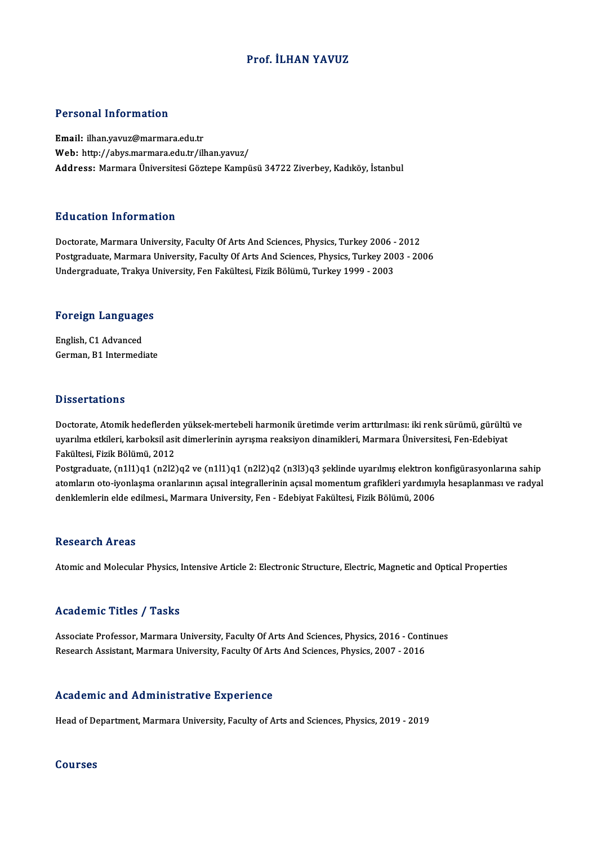# Prof. İLHAN YAVUZ

## Personal Information

Email: ilhan.yavuz@marmara.edu.tr Web: http://abys.marmara.edu.tr/ilhan.yavuz/ Address: Marmara Üniversitesi Göztepe Kampüsü 34722 Ziverbey, Kadıköy, İstanbul

## Education Information

Doctorate, Marmara University, Faculty Of Arts And Sciences, Physics, Turkey 2006 - 2012 Putroate, Marmara University, Faculty Of Arts And Sciences, Physics, Turkey 2006 - 2012<br>Postgraduate, Marmara University, Faculty Of Arts And Sciences, Physics, Turkey 2003 - 2006<br>Undergraduate, Trakya University, Fan Fakü Doctorate, Marmara University, Faculty Of Arts And Sciences, Physics, Turkey 2006 -<br>Postgraduate, Marmara University, Faculty Of Arts And Sciences, Physics, Turkey 200<br>Undergraduate, Trakya University, Fen Fakültesi, Fizik

# <sub>Undergraduate, Trakya U<br>Foreign Languages</sub>

Foreign Language<br>English, C1 Advanced<br>Corman B1 Intermedi English, C1 Advanced<br>German, B1 Intermediate

#### **Dissertations**

Doctorate, Atomik hedeflerden yüksek-mertebeli harmonik üretimde verim arttırılması: iki renk sürümü, gürültü ve uyasas tatroma<br>Doctorate, Atomik hedeflerden yüksek-mertebeli harmonik üretimde verim arttırılması: iki renk sürümü, gürültü<br>Rakültesi, Firik Pölümü, 2012 Doctorate, Atomik hedeflerder<br>uyarılma etkileri, karboksil asi<br>Fakültesi, Fizik Bölümü, 2012<br>Postsraduate (n1l1)s1 (n<sup>212)</sup> uyarılma etkileri, karboksil asit dimerlerinin ayrışma reaksiyon dinamikleri, Marmara Üniversitesi, Fen-Edebiyat<br>Fakültesi, Fizik Bölümü, 2012<br>Postgraduate, (n1l1)q1 (n2l2)q2 ve (n1l1)q1 (n2l2)q2 (n3l3)q3 şeklinde uyarılmı

Fakültesi, Fizik Bölümü, 2012<br>Postgraduate, (n1l1)q1 (n2l2)q2 ve (n1l1)q1 (n2l2)q2 (n3l3)q3 şeklinde uyarılmış elektron konfigürasyonlarına sahip<br>atomların oto-iyonlaşma oranlarının açısal integrallerinin açısal momentum g Postgraduate, (n1l1)q1 (n2l2)q2 ve (n1l1)q1 (n2l2)q2 (n3l3)q3 şeklinde uyarılmış elektron k<br>atomların oto-iyonlaşma oranlarının açısal integrallerinin açısal momentum grafikleri yardımıy<br>denklemlerin elde edilmesi., Marmar denklemlerin elde edilmesi., Marmara University, Fen - Edebiyat Fakültesi, Fizik Bölümü, 2006<br>Research Areas

Atomic and Molecular Physics, Intensive Article 2: Electronic Structure, Electric, Magnetic and Optical Properties

## Academic Titles / Tasks

Associate Professor, Marmara University, Faculty Of Arts And Sciences, Physics, 2016 - Continues Research Assistant, Marmara University, Faculty Of Arts And Sciences, Physics, 2007 - 2016

## Academic and Administrative Experience

Head of Department, Marmara University, Faculty of Arts and Sciences, Physics, 2019 - 2019

#### Courses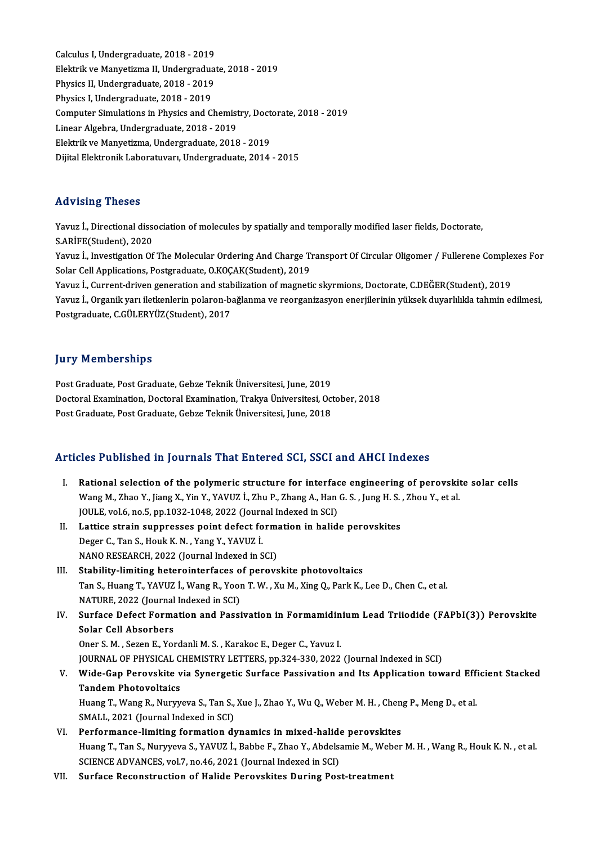Calculus I, Undergraduate, 2018 - 2019<br>Calculus I, Undergraduate, 2018 - 2019<br>Flaktnik ve Manyetiume II, Undergraduat Elektrik ve Manyetizma II, Undergraduate, 2018 - 2019<br>Physics II, Undergraduate, 2018 - 2019 Calculus I, Undergraduate, 2018 - 2019<br>Elektrik ve Manyetizma II, Undergradua<br>Physics II, Undergraduate, 2018 - 2019<br>Physics I Undergraduate, 2018 - 2019 Physics I, Undergraduate, 2018 - 2019 Physics II, Undergraduate, 2018 - 2019<br>Physics I, Undergraduate, 2018 - 2019<br>Computer Simulations in Physics and Chemistry, Doctorate, 2018 - 2019<br>Linear Algebra Undergraduate, 2018 - 2019 Physics I, Undergraduate, 2018 - 2019<br>Computer Simulations in Physics and Chemist<br>Linear Algebra, Undergraduate, 2018 - 2019<br>Flektrik ve Manyetizma, Undergraduate, 2019 Computer Simulations in Physics and Chemistry, Doct<br>Linear Algebra, Undergraduate, 2018 - 2019<br>Elektrik ve Manyetizma, Undergraduate, 2018 - 2019<br>Dijital Elektronik Laberatuvary Undergraduate, 2014 Linear Algebra, Undergraduate, 2018 - 2019<br>Elektrik ve Manyetizma, Undergraduate, 2018 - 2019<br>Dijital Elektronik Laboratuvarı, Undergraduate, 2014 - 2015

# Advising Theses

Yavuz İ., Directional dissociation of molecules by spatially and temporally modified laser fields, Doctorate, S.ARİFE(Student),2020 Yavuz İ., Directional dissociation of molecules by spatially and temporally modified laser fields, Doctorate,<br>S.ARİFE(Student), 2020<br>Yavuz İ., Investigation Of The Molecular Ordering And Charge Transport Of Circular Oligom S.ARİFE(Student), 2020<br>Yavuz İ., Investigation Of The Molecular Ordering And Charge T<br>Solar Cell Applications, Postgraduate, O.KOÇAK(Student), 2019<br>Yavuz İ. Current driven generation and stabilization of magneti

Yavuz İ., Investigation Of The Molecular Ordering And Charge Transport Of Circular Oligomer / Fullerene Comple<br>Solar Cell Applications, Postgraduate, O.KOÇAK(Student), 2019<br>Yavuz İ., Current-driven generation and stabiliza

Solar Cell Applications, Postgraduate, O.KOÇAK(Student), 2019<br>Yavuz İ., Current-driven generation and stabilization of magnetic skyrmions, Doctorate, C.DEĞER(Student), 2019<br>Yavuz İ., Organik yarı iletkenlerin polaron-bağla Yavuz İ., Current-driven generation and stal<br>Yavuz İ., Organik yarı iletkenlerin polaron-b:<br>Postgraduate, C.GÜLERYÜZ(Student), 2017 Postgraduate, C.GÜLERYÜZ(Student), 2017<br>Jury Memberships

Post Graduate, Post Graduate, Gebze Teknik Üniversitesi, June, 2019 Jury Trembertmye<br>Post Graduate, Post Graduate, Gebze Teknik Üniversitesi, June, 2019<br>Doctoral Examination, Doctoral Examination, Trakya Üniversitesi, October, 2018<br>Post Craduate, Bost Craduate, Cobre Telmik Üniversitesi, J Post Graduate, Post Graduate, Gebze Teknik Üniversitesi, June, 2019<br>Doctoral Examination, Doctoral Examination, Trakya Üniversitesi, Oc<br>Post Graduate, Post Graduate, Gebze Teknik Üniversitesi, June, 2018

# Post Graduate, Post Graduate, Gebze Teknik Üniversitesi, June, 2018<br>Articles Published in Journals That Entered SCI, SSCI and AHCI Indexes

The Published in Journals That Entered SCI, SSCI and AHCI Indexes<br>I. Rational selection of the polymeric structure for interface engineering of perovskite solar cells<br>Wang M. Theo Y. Jing Y. Vin Y. YAVUZ L. Zhu B. Zhang A. Rational selection of the polymeric structure for interface engineering of perovskit<br>Wang M., Zhao Y., Jiang X., Yin Y., YAVUZ İ., Zhu P., Zhang A., Han G. S. , Jung H. S. , Zhou Y., et al.<br>JOWE. vel & ne 5, nn 1933 1948 2 Rational selection of the polymeric structure for interfactor and M, Theory C, Yang M, Hand M, Hand JOULE, vol.6, no.5, pp.1032-1048, 2022 (Journal Indexed in SCI) Wang M., Zhao Y., Jiang X., Yin Y., YAVUZ İ., Zhu P., Zhang A., Han G. S. , Jung H. S.<br>JOULE, vol.6, no.5, pp.1032-1048, 2022 (Journal Indexed in SCI)<br>II. Lattice strain suppresses point defect formation in halide perovski JOULE, vol.6, no.5, pp.1032-1048, 2022 (Journal Indexed in SCI)<br>Lattice strain suppresses point defect formation in halid<br>Deger C., Tan S., Houk K. N. , Yang Y., YAVUZ İ.<br>NANO RESEARCH, 2022 (Journal Indexed in SCI) Lattice strain suppresses point defect form:<br>Deger C., Tan S., Houk K. N. , Yang Y., YAVUZ İ.<br>NANO RESEARCH, 2022 (Journal Indexed in SCI)<br>Stability limiting beterointerfaces of pereve III. Stability-limiting heterointerfaces of perovskite photovoltaics NANO RESEARCH, 2022 (Journal Indexed in SCI)<br>Stability-limiting heterointerfaces of perovskite photovoltaics<br>Tan S., Huang T., YAVUZ İ., Wang R., Yoon T. W. , Xu M., Xing Q., Park K., Lee D., Chen C., et al.<br>NATURE 2022 (J Stability-limiting heterointerfaces o<br>Tan S., Huang T., YAVUZ İ., Wang R., Yoor<br>NATURE, 2022 (Journal Indexed in SCI)<br>Surface Defect Fermation and Bassi Tan S., Huang T., YAVUZ İ., Wang R., Yoon T. W. , Xu M., Xing Q., Park K., Lee D., Chen C., et al.<br>NATURE, 2022 (Journal Indexed in SCI)<br>IV. Surface Defect Formation and Passivation in Formamidinium Lead Triiodide (FAPbI(3 NATURE, 2022 (Journal Indexed in SCI)<br>Surface Defect Formation and Passivation in Formamidin<br>Solar Cell Absorbers<br>Oner S. M., Sezen E., Yordanli M. S., Karakoc E., Deger C., Yavuz I. Surface Defect Formation and Passivation in Formamidin<br>Solar Cell Absorbers<br>Oner S. M. , Sezen E., Yordanli M. S. , Karakoc E., Deger C., Yavuz I.<br>JOUPMAL OF BUYSICAL CHEMISTRY LETTERS, pp.224, 220, 2022. JOURNAL OF PHYSICAL CHEMISTRY LETTERS, pp.324-330, 2022 (Journal Indexed in SCI) Oner S. M. , Sezen E., Yordanli M. S. , Karakoc E., Deger C., Yavuz I.<br>JOURNAL OF PHYSICAL CHEMISTRY LETTERS, pp.324-330, 2022 (Journal Indexed in SCI)<br>V. Wide-Gap Perovskite via Synergetic Surface Passivation and Its JOURNAL OF PHYSICAL C<br>Wide-Gap Perovskite v<br>Tandem Photovoltaics<br><sup>Huang T.</sup> Wang P. Nuww Wide-Gap Perovskite via Synergetic Surface Passivation and Its Application toward Eff:<br>Tandem Photovoltaics<br>Huang T., Wang R., Nuryyeva S., Tan S., Xue J., Zhao Y., Wu Q., Weber M. H. , Cheng P., Meng D., et al.<br>SMALL 2021 Tandem Photovoltaics<br>Huang T., Wang R., Nuryyeva S., Tan S., Xue J., Zhao Y., Wu Q., Weber M. H. , Cheng P., Meng D., et al.<br>SMALL, 2021 (Journal Indexed in SCI) VI. Performance-limiting formation dynamics in mixed-halide perovskites Huang T., Tan S., Nuryyeva S., YAVUZ İ., Babbe F., Zhao Y., Abdelsamie M., Weber M. H., Wang R., Houk K. N., et al. SCIENCE ADVANCES, vol.7, no.46, 2021 (Journal Indexed in SCI) VII. Surface Reconstruction of Halide Perovskites During Post-treatment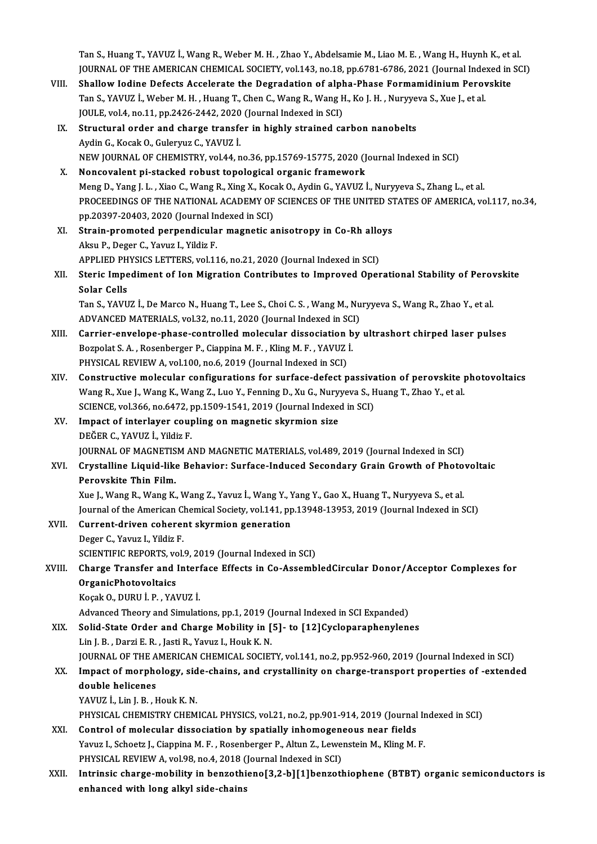Tan S., Huang T., YAVUZ İ., Wang R., Weber M. H. , Zhao Y., Abdelsamie M., Liao M. E. , Wang H., Huynh K., et al.<br>JOUPNAL OF THE AMERICAN CHEMICAL SOCIETY vol 143 no 18 nn 6791 6796 2021 (Journal Indoved in SC Tan S., Huang T., YAVUZ İ., Wang R., Weber M. H. , Zhao Y., Abdelsamie M., Liao M. E. , Wang H., Huynh K., et al<br>JOURNAL OF THE AMERICAN CHEMICAL SOCIETY, vol.143, no.18, pp.6781-6786, 2021 (Journal Indexed in SCI)<br>Shallow Tan S., Huang T., YAVUZ İ., Wang R., Weber M. H., Zhao Y., Abdelsamie M., Liao M. E., Wang H., Huynh K., et a<br>JOURNAL OF THE AMERICAN CHEMICAL SOCIETY, vol.143, no.18, pp.6781-6786, 2021 (Journal Indexed in<br>VIII. Shallow I

- JOURNAL OF THE AMERICAN CHEMICAL SOCIETY, vol.143, no.18, pp.6781-6786, 2021 (Journal Inder<br>Shallow Iodine Defects Accelerate the Degradation of alpha-Phase Formamidinium Perov<br>Tan S., YAVUZ İ., Weber M. H. , Huang T., Che Shallow Iodine Defects Accelerate the Degradation of alph<br>Tan S., YAVUZ İ., Weber M. H. , Huang T., Chen C., Wang R., Wang H<br>JOULE, vol.4, no.11, pp.2426-2442, 2020 (Journal Indexed in SCI)<br>Structural order and sharge tran Tan S., YAVUZ İ., Weber M. H. , Huang T., Chen C., Wang R., Wang H., Ko J. H. , Nuryyeva S., Xue J., et al.<br>JOULE, vol.4, no.11, pp.2426-2442, 2020 (Journal Indexed in SCI)<br>IX. Structural order and charge transfer in highl
- Aydin G., Kocak O., Guleryuz C., YAVUZ İ. NEWJOURNALOF CHEMISTRY,vol.44,no.36,pp.15769-15775,2020 (Journal Indexed inSCI)
- X. Noncovalent pi-stacked robust topological organic framework NEW JOURNAL OF CHEMISTRY, vol.44, no.36, pp.15769-15775, 2020 (Journal Indexed in SCI)<br>Noncovalent pi-stacked robust topological organic framework<br>Meng D., Yang J. L. , Xiao C., Wang R., Xing X., Kocak O., Aydin G., YAVUZ PROCEEDINGS OF THE NATIONAL ACADEMY OF SCIENCES OF THE UNITED STATES OF AMERICA, vol.117, no.34,<br>pp.20397-20403, 2020 (Journal Indexed in SCI) Meng D., Yang J. L. , Xiao C., Wang R., Xing X., Koca<br>PROCEEDINGS OF THE NATIONAL ACADEMY OF<br>pp.20397-20403, 2020 (Journal Indexed in SCI)<br>Strain promoted perpendicular magnetic e
- XI. Strain-promoted perpendicular magnetic anisotropy in Co-Rh alloys AksuP.,Deger C.,Yavuz I.,YildizF. Strain-promoted perpendicular magnetic anisotropy in Co-Rh allo<br>Aksu P., Deger C., Yavuz I., Yildiz F.<br>APPLIED PHYSICS LETTERS, vol.116, no.21, 2020 (Journal Indexed in SCI)<br>Staria Impodiment of Iop Migration Contributes t
- Aksu P., Deger C., Yavuz I., Yildiz F.<br>APPLIED PHYSICS LETTERS, vol.116, no.21, 2020 (Journal Indexed in SCI)<br>XII. Steric Impediment of Ion Migration Contributes to Improved Operational Stability of Perovskite<br>Selar Cel APPLIED PH<br>Steric Impe<br>Solar Cells<br>Ten S. YAVU Steric Impediment of Ion Migration Contributes to Improved Operational Stability of Perov<br>Solar Cells<br>Tan S., YAVUZ İ., De Marco N., Huang T., Lee S., Choi C. S. , Wang M., Nuryyeva S., Wang R., Zhao Y., et al.<br>ADVANCED MA

Solar Cells<br>Tan S., YAVUZ İ., De Marco N., Huang T., Lee S., Choi C. S. , Wang M., Nu<br>ADVANCED MATERIALS, vol.32, no.11, 2020 (Journal Indexed in SCI)<br>Carrier envelane nhase sentrelled melesular dissesiation by Tan S., YAVUZ İ., De Marco N., Huang T., Lee S., Choi C. S. , Wang M., Nuryyeva S., Wang R., Zhao Y., et al.<br>ADVANCED MATERIALS, vol.32, no.11, 2020 (Journal Indexed in SCI)<br>XIII. Carrier-envelope-phase-controlled molecula

- ADVANCED MATERIALS, vol.32, no.11, 2020 (Journal Indexed in SC)<br>Carrier-envelope-phase-controlled molecular dissociation b<br>Bozpolat S. A. , Rosenberger P., Ciappina M. F. , Kling M. F. , YAVUZ İ.<br>PHYSICAL PEVIEW A. vol.100 Carrier-envelope-phase-controlled molecular dissociation<br>Bozpolat S. A. , Rosenberger P., Ciappina M. F. , Kling M. F. , YAVUZ<br>PHYSICAL REVIEW A, vol.100, no.6, 2019 (Journal Indexed in SCI)<br>Constructive molecular configur Bozpolat S. A., Rosenberger P., Ciappina M. F., Kling M. F., YAVUZ İ.<br>PHYSICAL REVIEW A, vol.100, no.6, 2019 (Journal Indexed in SCI)<br>XIV. Constructive molecular configurations for surface-defect passivation of perovskite
- PHYSICAL REVIEW A, vol.100, no.6, 2019 (Journal Indexed in SCI)<br>Constructive molecular configurations for surface-defect passivation of perovskite <sub>]</sub><br>Wang R., Xue J., Wang K., Wang Z., Luo Y., Fenning D., Xu G., Nuryyeva Constructive molecular configurations for surface-defect passive<br>Wang R., Xue J., Wang K., Wang Z., Luo Y., Fenning D., Xu G., Nuryyeva S., H<br>SCIENCE, vol.366, no.6472, pp.1509-1541, 2019 (Journal Indexed in SCI)<br>Impect of Wang R., Xue J., Wang K., Wang Z., Luo Y., Fenning D., Xu G., Nuryyeva S., Huang T., Zhao Y., et al.<br>SCIENCE, vol.366, no.6472, pp.1509-1541, 2019 (Journal Indexed in SCI)<br>XV. Impact of interlayer coupling on magnetic skyr SCIENCE, vol.366, no.6472, pp.1509-1541, 2019 (Journal Indexed in SCI)
- JOURNAL OF MAGNETISM AND MAGNETIC MATERIALS, vol.489, 2019 (Journal Indexed in SCI) DEĞER C., YAVUZ İ., Yildiz F.<br>JOURNAL OF MAGNETISM AND MAGNETIC MATERIALS, vol.489, 2019 (Journal Indexed in SCI)<br>XVI. Crystalline Liquid-like Behavior: Surface-Induced Secondary Grain Growth of Photovoltaic<br>Regevalite
- JOURNAL OF MAGNETIS<br>Crystalline Liquid-like<br>Perovskite Thin Film.<br>Yue L.Wang B. Wang K Crystalline Liquid-like Behavior: Surface-Induced Secondary Grain Growth of Photo<br>Perovskite Thin Film.<br>Xue J., Wang R., Wang K., Wang Z., Yavuz İ., Wang Y., Yang Y., Gao X., Huang T., Nuryyeva S., et al.<br>Journal of the Am

Perovskite Thin Film.<br>Xue J., Wang R., Wang K., Wang Z., Yavuz İ., Wang Y., Yang Y., Gao X., Huang T., Nuryyeva S., et al.<br>Journal of the American Chemical Society, vol.141, pp.13948-13953, 2019 (Journal Indexed in SCI)<br>Cu Xue J., Wang R., Wang K., Wang Z., Yavuz İ., Wang Y., Yang Y., Gao X., Huang T., Nuryyeva S., et al.<br>Journal of the American Chemical Society, vol.141, pp.13948-13953, 2019 (Journal Indexed in S<br>XVII. Current-driven cohere

- 
- Journal of the American C.<br>Current-driven coherer<br>Deger C., Yavuz I., Yildiz F.<br>SCIENTIEIC BEROPTS .vol. Current-driven coherent skyrmion generation<br>Deger C., Yavuz I., Yildiz F.<br>SCIENTIFIC REPORTS, vol.9, 2019 (Journal Indexed in SCI)<br>Charge Transfor and Interface Effects in Co. Assemb

XVIII. Charge Transfer and Interface Effects in Co-AssembledCircular Donor/Acceptor Complexes for<br>OrganicPhotovoltaics SCIENTIFIC REPORTS, vo<br>Charge Transfer and 1<br>OrganicPhotovoltaics<br>Kosak O, DUPU LP, XAN KoçakO.,DURUİ.P. ,YAVUZ İ. OrganicPhotovoltaics<br>Koçak O., DURU İ. P. , YAVUZ İ.<br>Advanced Theory and Simulations, pp.1, 2019 (Journal Indexed in SCI Expanded)<br>Solid State Order and Charge Mobility in J51, to [12]Cycleneranhenylen

XIX. Solid-State Order and Charge Mobility in [5]- to [12] Cycloparaphenylenes<br>Lin J. B., Darzi E. R., Jasti R., Yavuz I., Houk K. N. Advanced Theory and Simulations, pp.1, 2019 ()<br>Solid-State Order and Charge Mobility in [<br>Lin J. B. , Darzi E. R. , Jasti R., Yavuz I., Houk K. N.<br>JOUPMAL OF THE AMERICAN CHEMICAL SOCIET Solid-State Order and Charge Mobility in [5]- to [12]Cycloparaphenylenes<br>Lin J. B. , Darzi E. R. , Jasti R., Yavuz I., Houk K. N.<br>JOURNAL OF THE AMERICAN CHEMICAL SOCIETY, vol.141, no.2, pp.952-960, 2019 (Journal Indexed i Lin J. B. , Darzi E. R. , Jasti R., Yavuz I., Houk K. N.<br>JOURNAL OF THE AMERICAN CHEMICAL SOCIETY, vol.141, no.2, pp.952-960, 2019 (Journal Indexed in SCI)<br>XX. Impact of morphology, side-chains, and crystallinity on charge

# **JOURNAL OF THE A<br>Impact of morphe<br>double helicenes**<br>VAVUZ L Lin L P L Impact of morphology, sid<br>double helicenes<br>YAVUZ İ., Lin J. B. , Houk K. N.<br>PHYSICAL CHEMISTRY CHEM double helicenes<br>YAVUZ İ., Lin J. B. , Houk K. N.<br>PHYSICAL CHEMISTRY CHEMICAL PHYSICS, vol.21, no.2, pp.901-914, 2019 (Journal Indexed in SCI)

- XXI. Control of molecular dissociation by spatially inhomogeneous near fields PHYSICAL CHEMISTRY CHEMICAL PHYSICS, vol.21, no.2, pp.901-914, 2019 (Journal In<br>Control of molecular dissociation by spatially inhomogeneous near fields<br>Yavuz I., Schoetz J., Ciappina M. F., Rosenberger P., Altun Z., Lewen Control of molecular dissociation by spatially inhomogene<br>Yavuz I., Schoetz J., Ciappina M. F. , Rosenberger P., Altun Z., Lewe:<br>PHYSICAL REVIEW A, vol.98, no.4, 2018 (Journal Indexed in SCI)<br>Intrincie charge mobility in h
- Yavuz I., Schoetz J., Ciappina M. F. , Rosenberger P., Altun Z., Lewenstein M., Kling M. F.<br>PHYSICAL REVIEW A, vol.98, no.4, 2018 (Journal Indexed in SCI)<br>XXII. Intrinsic charge-mobility in benzothieno[3,2-b][1]benzothioph PHYSICAL REVIEW A, vol.98, no.4, 2018 (<br>Intrinsic charge-mobility in benzothi<br>enhanced with long alkyl side-chains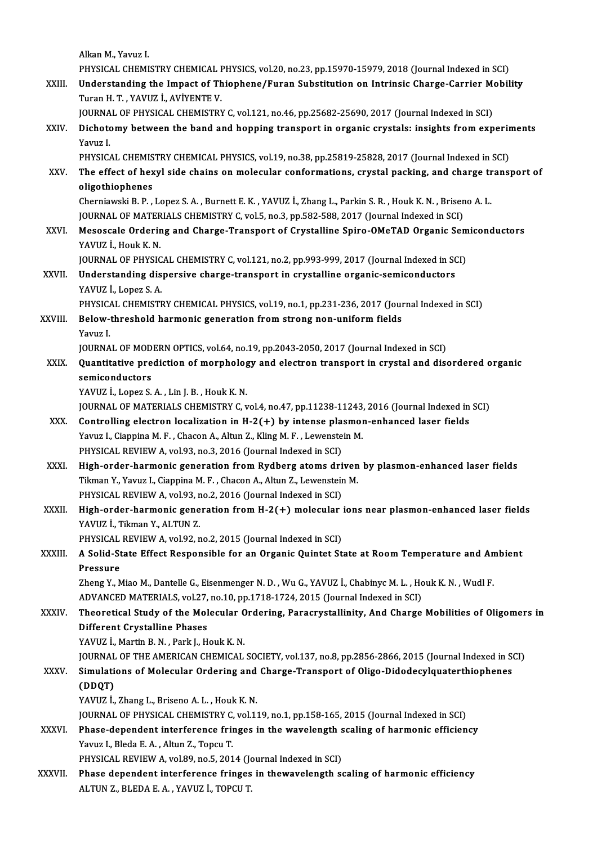AlkanM.,Yavuz I.

Alkan M., Yavuz I.<br>PHYSICAL CHEMISTRY CHEMICAL PHYSICS, vol.20, no.23, pp.15970-15979, 2018 (Journal Indexed in SCI)<br>Understanding the Impact of Thiophone (Euron Substitution on Intrinsic Charge Corrier Mobil Alkan M., Yavuz I.<br>PHYSICAL CHEMISTRY CHEMICAL PHYSICS, vol.20, no.23, pp.15970-15979, 2018 (Journal Indexed in SCI)<br>XXIII. Understanding the Impact of Thiophene/Furan Substitution on Intrinsic Charge-Carrier Mobility<br>Ture

PHYSICAL CHEMISTRY CHEMICAL F<br>Understanding the Impact of Th<br>Turan H. T. , YAVUZ İ., AVİYENTE V.<br>JOUPMAL OF PHYSICAL CHEMISTRY Understanding the Impact of Thiophene/Furan Substitution on Intrinsic Charge-Carrier Me<br>Turan H. T. , YAVUZ İ., AVİYENTE V.<br>JOURNAL OF PHYSICAL CHEMISTRY C, vol.121, no.46, pp.25682-25690, 2017 (Journal Indexed in SCI)<br>Dis

Turan H. T. , YAVUZ İ., AVİYENTE V.<br>JOURNAL OF PHYSICAL CHEMISTRY C, vol.121, no.46, pp.25682-25690, 2017 (Journal Indexed in SCI)<br>XXIV. Dichotomy between the band and hopping transport in organic crystals: insights fr JOURNA<br><mark>Dichoto</mark><br>Yavuz I.<br>puvsic*i* Dichotomy between the band and hopping transport in organic crystals: insights from experimental and the Micro<br>PHYSICAL CHEMISTRY CHEMICAL PHYSICS, vol.19, no.38, pp.25819-25828, 2017 (Journal Indexed in SCI)<br>The effect of

Yavuz I.<br>PHYSICAL CHEMISTRY CHEMICAL PHYSICS, vol.19, no.38, pp.25819-25828, 2017 (Journal Indexed in SCI)<br>XXV. The effect of hexyl side chains on molecular conformations, crystal packing, and charge transport of<br>alizat

PHYSICAL CHEMIS<br>The effect of hex<br>oligothiophenes<br>Chemiaughi P-P The effect of hexyl side chains on molecular conformations, crystal packing, and charge tr<br>oligothiophenes<br>Cherniawski B.P., Lopez S.A., Burnett E.K., YAVUZ İ., Zhang L., Parkin S.R., Houk K.N., Briseno A.L.<br>JOUPMAL OF MAT ol<mark>igothiophenes</mark><br>Cherniawski B. P. , Lopez S. A. , Burnett E. K. , YAVUZ İ., Zhang L., Parkin S. R. , Houk K. N. , Brisen<br>JOURNAL OF MATERIALS CHEMISTRY C, vol.5, no.3, pp.582-588, 2017 (Journal Indexed in SCI)<br>Mesessale

# Cherniawski B. P. , Lopez S. A. , Burnett E. K. , YAVUZ İ., Zhang L., Parkin S. R. , Houk K. N. , Briseno A. L.<br>JOURNAL OF MATERIALS CHEMISTRY C, vol.5, no.3, pp.582-588, 2017 (Journal Indexed in SCI)<br>XXVI. Mesoscale Order **JOURNAL OF MATER<br>Mesoscale Orderin<br>YAVUZ İ., Houk K. N.**<br>JOUPNAL OF PHYSIC Mesoscale Ordering and Charge-Transport of Crystalline Spiro-OMeTAD Organic Sem<br>YAVUZ İ., Houk K. N.<br>JOURNAL OF PHYSICAL CHEMISTRY C, vol.121, no.2, pp.993-999, 2017 (Journal Indexed in SCI)<br>Understanding dianoraire charge

JOURNAL OF PHYSICAL CHEMISTRY C, vol.121, no.2, pp.993-999, 2017 (Journal Indexed in SCI)

YAVUZ İ., Houk K. N.<br>JOURNAL OF PHYSICAL CHEMISTRY C, vol.121, no.2, pp.993-999, 2017 (Journal Indexed in SC<br>XXVII. Understanding dispersive charge-transport in crystalline organic-semiconductors<br>YAVUZ İ., Lopez S. A. YAVUZ İ., Lopez S. A.<br>PHYSICAL CHEMISTRY CHEMICAL PHYSICS, vol.19, no.1, pp.231-236, 2017 (Jour<br>XXVIII. Below-threshold harmonic generation from strong non-uniform fields<br>Vouve L

PHYSICAL CHEMISTRY CHEMICAL PHYSICS, vol.19, no.1, pp.231-236, 2017 (Journal Indexed in SCI)

PHYSICA<br>Below-<br>Yavuz I. Below-threshold harmonic generation from strong non-uniform fields<br>Yavuz I.<br>JOURNAL OF MODERN OPTICS, vol.64, no.19, pp.2043-2050, 2017 (Journal Indexed in SCI)<br>Quantitative prodiction of morphology and electron transport

Yavuz I.<br>JOURNAL OF MODERN OPTICS, vol.64, no.19, pp.2043-2050, 2017 (Journal Indexed in SCI)<br>XXIX. Quantitative prediction of morphology and electron transport in crystal and disordered organic<br>semiconductors **JOURNAL OF MOD<br>Quantitative pre<br>semiconductors**<br>VAVUZ LADOZS semiconductors<br>YAVUZ İ., Lopez S. A. , Lin J. B. , Houk K. N.<br>JOURNAL OF MATERIALS CHEMISTRY C, vol.4, no.47, pp.11238-11243, 2016 (Journal Indexed in SCI)<br>Controlling electron localization in H. 3(+) by intense plasmen en

YAVUZ İ., Lopez S.A., Lin J.B., Houk K.N.

- YAVUZ İ., Lopez S. A., Lin J. B., Houk K. N.<br>JOURNAL OF MATERIALS CHEMISTRY C, vol.4, no.47, pp.11238-11243, 2016 (Journal Indexed in XXX.<br>XXX. Controlling electron localization in H-2(+) by intense plasmon-enhanced laser JOURNAL OF MATERIALS CHEMISTRY C, vol.4, no.47, pp.11238-11243<br>Controlling electron localization in H-2(+) by intense plasmor<br>Yavuz I., Ciappina M. F., Chacon A., Altun Z., Kling M. F., Lewenstein M.<br>PHYSICAL PEVIEW A vol. XXX. Controlling electron localization in  $H-2(+)$  by intense plasmon-enhanced laser fields<br>Yavuz I., Ciappina M. F. , Chacon A., Altun Z., Kling M. F. , Lewenstein M.<br>PHYSICAL REVIEW A, vol.93, no.3, 2016 (Journal Indexed Yavuz I., Ciappina M. F., Chacon A., Altun Z., Kling M. F., Lewenstein M.<br>PHYSICAL REVIEW A, vol.93, no.3, 2016 (Journal Indexed in SCI)<br>XXXI. High-order-harmonic generation from Rydberg atoms driven by plasmon-enhanced la
- PHYSICAL REVIEW A, vol.93, no.3, 2016 (Journal Indexed in SCI)<br>High-order-harmonic generation from Rydberg atoms driven<br>Tikman Y., Yavuz I., Ciappina M. F. , Chacon A., Altun Z., Lewenstein M.<br>PHYSICAL PEVIEW A yol.93, no. High-order-harmonic generation from Rydberg atoms dri<br>Tikman Y., Yavuz I., Ciappina M. F. , Chacon A., Altun Z., Lewensteir<br>PHYSICAL REVIEW A, vol.93, no.2, 2016 (Journal Indexed in SCI)<br>High-order bermonic generation from Tikman Y., Yavuz I., Ciappina M. F. , Chacon A., Altun Z., Lewenstein M.<br>PHYSICAL REVIEW A, vol.93, no.2, 2016 (Journal Indexed in SCI)<br>XXXII. High-order-harmonic generation from H-2(+) molecular ions near plasmon-enha
- PHYSICAL REVIEW A, vol.93, r<br>High-order-harmonic gene<br>YAVUZ İ., Tikman Y., ALTUN Z.<br>PHYSICAL PEVIEW A, vol.93, r High-order-harmonic generation from H-2(+) molecular<br>YAVUZ İ., Tikman Y., ALTUN Z.<br>PHYSICAL REVIEW A, vol.92, no.2, 2015 (Journal Indexed in SCI)<br>A Solid State Effect Beenensible for an Organic Quintet St

YAVUZ İ., Tikman Y., ALTUN Z.<br>PHYSICAL REVIEW A, vol.92, no.2, 2015 (Journal Indexed in SCI)<br>XXXIII. A Solid-State Effect Responsible for an Organic Quintet State at Room Temperature and Ambient<br>Pressure PHYSICAL<br>A Solid-St<br>Pressure<br><sup>7hong V</sup>.

A Solid-State Effect Responsible for an Organic Quintet State at Room Temperature and An<br>Pressure<br>Zheng Y., Miao M., Dantelle G., Eisenmenger N. D. , Wu G., YAVUZ İ., Chabinyc M. L. , Houk K. N. , Wudl F.<br>ADVANCED MATERIAL Pressure<br>Zheng Y., Miao M., Dantelle G., Eisenmenger N. D. , Wu G., YAVUZ İ., Chabinyc M. L. , Hc<br>ADVANCED MATERIALS, vol.27, no.10, pp.1718-1724, 2015 (Journal Indexed in SCI)<br>Theoretical Study of the Molecular Ordering,

Zheng Y., Miao M., Dantelle G., Eisenmenger N. D. , Wu G., YAVUZ İ., Chabinyc M. L. , Houk K. N. , Wudl F.<br>ADVANCED MATERIALS, vol.27, no.10, pp.1718-1724, 2015 (Journal Indexed in SCI)<br>XXXIV. Theoretical Study of the ADVANCED MATERIALS, vol.27,<br>Theoretical Study of the Mol<br>Different Crystalline Phases<br>VAVUZ L Mortin B. N., Bork L. H Theoretical Study of the Molecular C<br>Different Crystalline Phases<br>YAVUZ İ., Martin B.N. , Park J., Houk K.N.<br>JOUPMAL OF THE AMERICAN CHEMICAL Different Crystalline Phases<br>YAVUZ İ., Martin B. N. , Park J., Houk K. N.<br>JOURNAL OF THE AMERICAN CHEMICAL SOCIETY, vol.137, no.8, pp.2856-2866, 2015 (Journal Indexed in SCI)<br>Simulations of Mologular Ordering and Charge Tr

YAVUZ İ., Martin B. N. , Park J., Houk K. N.<br>JOURNAL OF THE AMERICAN CHEMICAL SOCIETY, vol.137, no.8, pp.2856-2866, 2015 (Journal Indexed in State of Molecular Ordering and Charge-Transport of Oligo-Didodecylquaterthiophen JOURNAL<br>Si<mark>mulati</mark><br>(DDQT)<br><sup>VAVUI7 i</sup> Simulations of Molecular Ordering and<br>(DDQT)<br>YAVUZ İ., Zhang L., Briseno A. L. , Houk K. N.<br>JOUPNAL OF PHYSICAL CHEMISTRY C. val 12 (DDQT)<br>YAVUZ İ., Zhang L., Briseno A. L. , Houk K. N.<br>JOURNAL OF PHYSICAL CHEMISTRY C, vol.119, no.1, pp.158-165, 2015 (Journal Indexed in SCI)<br>Phase dependent interference fringes in the wavelength scaling of bermonis eff

YAVUZ İ., Zhang L., Briseno A. L. , Houk K. N.<br>JOURNAL OF PHYSICAL CHEMISTRY C, vol.119, no.1, pp.158-165, 2015 (Journal Indexed in SCI)<br>XXXVI. Phase-dependent interference fringes in the wavelength scaling of harmonic eff **JOURNAL OF PHYSICAL CHEMISTRY C,<br>Phase-dependent interference frim<br>Yavuz I., Bleda E. A. , Altun Z., Topcu T.<br>BHYSICAL BEVIEW A. YOL80, BO 5, 201** Phase-dependent interference fringes in the wavelength s<br>Yavuz I., Bleda E. A. , Altun Z., Topcu T.<br>PHYSICAL REVIEW A, vol.89, no.5, 2014 (Journal Indexed in SCI)<br>Phase dependent interference fringes in thewevelength as

Yavuz I., Bleda E. A. , Altun Z., Topcu T.<br>PHYSICAL REVIEW A, vol.89, no.5, 2014 (Journal Indexed in SCI)<br>XXXVII. Phase dependent interference fringes in thewavelength scaling of harmonic efficiency PHYSICAL REVIEW A, vol.89, no.5, 2014 (Jo<br><mark>Phase dependent interference fringes</mark><br>ALTUN Z., BLEDA E. A. , YAVUZ İ., TOPCU T.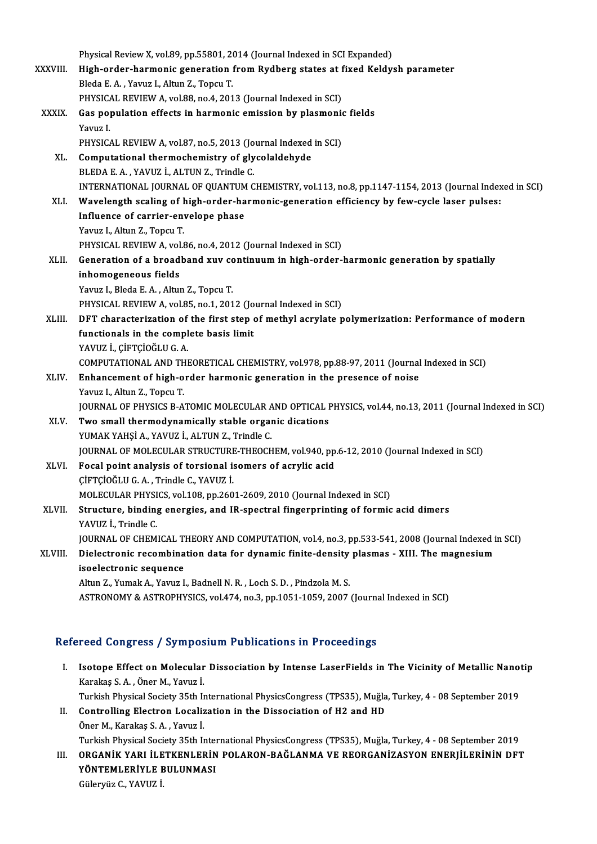|              | Physical Review X, vol.89, pp.55801, 2014 (Journal Indexed in SCI Expanded)                             |
|--------------|---------------------------------------------------------------------------------------------------------|
| XXXVIII.     | High-order-harmonic generation from Rydberg states at fixed Keldysh parameter                           |
|              | Bleda E. A., Yavuz I., Altun Z., Topcu T.                                                               |
|              | PHYSICAL REVIEW A, vol.88, no.4, 2013 (Journal Indexed in SCI)                                          |
| <b>XXXIX</b> | Gas population effects in harmonic emission by plasmonic fields                                         |
|              | Yavuz I.                                                                                                |
|              | PHYSICAL REVIEW A, vol.87, no.5, 2013 (Journal Indexed in SCI)                                          |
| XL.          | Computational thermochemistry of glycolaldehyde                                                         |
|              | BLEDA E.A., YAVUZ İ., ALTUN Z., Trindle C.                                                              |
|              | INTERNATIONAL JOURNAL OF QUANTUM CHEMISTRY, vol.113, no.8, pp.1147-1154, 2013 (Journal Indexed in SCI)  |
| XLI.         | Wavelength scaling of high-order-harmonic-generation efficiency by few-cycle laser pulses:              |
|              | Influence of carrier-envelope phase                                                                     |
|              | Yavuz I., Altun Z., Topcu T.                                                                            |
|              | PHYSICAL REVIEW A, vol.86, no.4, 2012 (Journal Indexed in SCI)                                          |
| XLII.        | Generation of a broadband xuv continuum in high-order-harmonic generation by spatially                  |
|              | inhomogeneous fields                                                                                    |
|              | Yavuz I., Bleda E. A., Altun Z., Topcu T.                                                               |
|              | PHYSICAL REVIEW A, vol.85, no.1, 2012 (Journal Indexed in SCI)                                          |
| XLIII.       | DFT characterization of the first step of methyl acrylate polymerization: Performance of modern         |
|              | functionals in the complete basis limit<br>YAVUZ İ., ÇİFTÇİOĞLU G. A.                                   |
|              | COMPUTATIONAL AND THEORETICAL CHEMISTRY, vol.978, pp.88-97, 2011 (Journal Indexed in SCI)               |
| XLIV.        | Enhancement of high-order harmonic generation in the presence of noise                                  |
|              | Yavuz I., Altun Z., Topcu T.                                                                            |
|              | JOURNAL OF PHYSICS B-ATOMIC MOLECULAR AND OPTICAL PHYSICS, vol.44, no.13, 2011 (Journal Indexed in SCI) |
| XLV.         | Two small thermodynamically stable organic dications                                                    |
|              | YUMAK YAHŞİ A., YAVUZ İ., ALTUN Z., Trindle C.                                                          |
|              | JOURNAL OF MOLECULAR STRUCTURE-THEOCHEM, vol.940, pp.6-12, 2010 (Journal Indexed in SCI)                |
| XLVI.        | Focal point analysis of torsional isomers of acrylic acid                                               |
|              | ÇİFTÇİOĞLU G. A., Trindle C., YAVUZ İ.                                                                  |
|              | MOLECULAR PHYSICS, vol.108, pp.2601-2609, 2010 (Journal Indexed in SCI)                                 |
| XLVII.       | Structure, binding energies, and IR-spectral fingerprinting of formic acid dimers                       |
|              | YAVUZ I., Trindle C.                                                                                    |
|              | JOURNAL OF CHEMICAL THEORY AND COMPUTATION, vol.4, no.3, pp.533-541, 2008 (Journal Indexed in SCI)      |
| XLVIII.      | Dielectronic recombination data for dynamic finite-density plasmas - XIII. The magnesium                |
|              | isoelectronic sequence                                                                                  |
|              | Altun Z., Yumak A., Yavuz I., Badnell N. R., Loch S. D., Pindzola M. S.                                 |
|              | ASTRONOMY & ASTROPHYSICS, vol.474, no.3, pp.1051-1059, 2007 (Journal Indexed in SCI)                    |
|              |                                                                                                         |

# Refereed Congress / Symposium Publications in Proceedings

efereed Congress / Symposium Publications in Proceedings<br>I. Isotope Effect on Molecular Dissociation by Intense LaserFields in The Vicinity of Metallic Nanotip Karakaş Karakaş S.A. , Öner M., Yavuz İ.<br>Karakaş S.A. , Öner M., Yavuz İ.<br>Turkish Physical Socisty 25th I. Isotope Effect on Molecular Dissociation by Intense LaserFields in The Vicinity of Metallic Nanot<br>Karakaş S. A. , Öner M., Yavuz İ.<br>Turkish Physical Society 35th International PhysicsCongress (TPS35), Muğla, Turkey, 4 - 08 Karakaş S. A. , Öner M., Yavuz İ.<br>Turkish Physical Society 35th International PhysicsCongress (TPS35), Muğla<br>II. Controlling Electron Localization in the Dissociation of H2 and HD<br>Öner M. Karakas S. A. Yayıyı İ. Turkish Physical Society 35th In<br>Controlling Electron Localiz<br>Öner M., Karakaş S.A. , Yavuz İ.<br>Turkish Physical Society 35th I. Öner M., Karakaş S. A. , Yavuz İ.<br>Turkish Physical Society 35th International PhysicsCongress (TPS35), Muğla, Turkey, 4 - 08 September 2019 Öner M., Karakaş S. A. , Yavuz İ.<br>Turkish Physical Society 35th International PhysicsCongress (TPS35), Muğla, Turkey, 4 - 08 September 2019<br>III. ORGANİK YARI İLETKENLERİN POLARON-BAĞLANMA VE REORGANİZASYON ENERJİLERİNİ Turkish Physical Society 35th Inter<br>ORGANİK YARI İLETKENLERİN<br>YÖNTEMLERİYLE BULUNMASI<br>Cülenniz C. YAVIZ İ ORGANİK YARI İLE<br>YÖNTEMLERİYLE E<br>Güleryüz C., YAVUZ İ.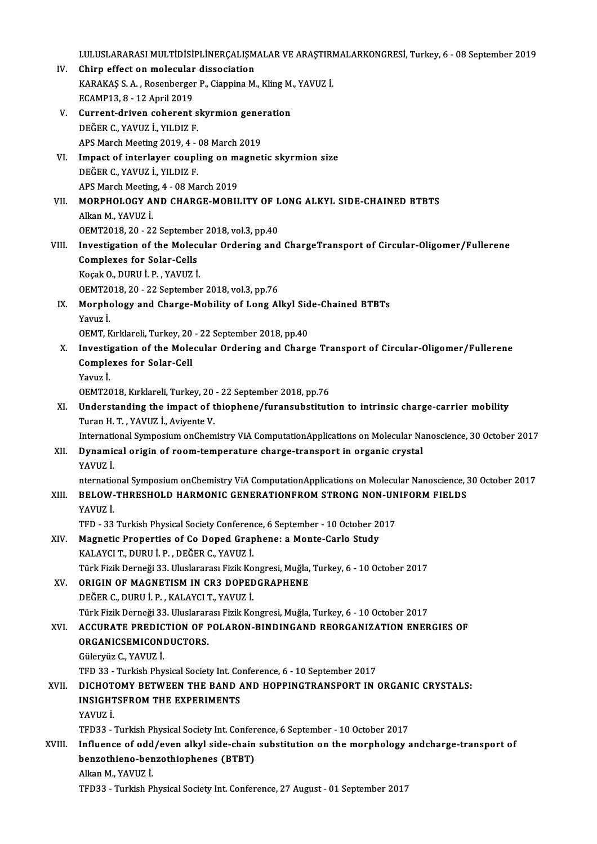I.ULUSLARARASI MULTİDİSİPLİNERÇALIŞMALAR VE ARAŞTIRMALARKONGRESİ, Turkey, 6 - 08 September 2019<br>Chinn effect en malesular disesejetian

- I.ULUSLARARASI MULTIDISIPLINERÇALIŞM<br>IV. Chirp effect on molecular dissociation<br>VARAKAS S.A. Besenberger B. Gioppine M I.ULUSLARARASI MULTIDISIPLINERÇALIŞMALAR VE ARAŞTIRI<br>Chirp effect on molecular dissociation<br>KARAKAŞ S. A. , Rosenberger P., Ciappina M., Kling M., YAVUZ İ.<br>ECAMB12-8-12 April 2010 Chirp effect on molecular<br>KARAKAŞ S.A., Rosenberger<br>ECAMP13, 8 - 12 April 2019<br>Current driven seberent KARAKAŞ S. A. , Rosenberger P., Ciappina M., Kling M.<br>ECAMP13, 8 - 12 April 2019<br>V. Current-driven coherent skyrmion generation<br>DEČER C. VAVUZ İ. VU DIZ E
- ECAMP13, 8 12 April 2019<br>Current-driven coherent s<br>DEĞER C., YAVUZ İ., YILDIZ F. Current-driven coherent skyrmion gene:<br>DEĞER C., YAVUZ İ., YILDIZ F.<br>APS March Meeting 2019, 4 - 08 March 2019<br>Impact of interlayer sounling en magnet DEĞER C., YAVUZ İ., YILDIZ F.<br>APS March Meeting 2019, 4 - 08 March 2019<br>VI. Impact of interlayer coupling on magnetic skyrmion size<br>DEĞER C. YAVUZ İ. YU DIZ E
- APS March Meeting 2019, 4 08 March 2019<br>Impact of interlayer coupling on magne<br>DEĞER C., YAVUZ İ., YILDIZ F. Impact of interlayer coupling on m:<br>DEĞER C., YAVUZ İ., YILDIZ F.<br>APS March Meeting, 4 - 08 March 2019<br>MORRHOLOCY AND CHARCE MORII DEĞER C., YAVUZ İ., YILDIZ F.<br>APS March Meeting, 4 - 08 March 2019<br>VII. MORPHOLOGY AND CHARGE-MOBILITY OF LONG ALKYL SIDE-CHAINED BTBTS<br>Alkan M. YAVUZ İ.
- APS March Meeting, 4 08 March 2019<br>MORPHOLOGY AND CHARGE-MOBILITY OF I<br>Alkan M., YAVUZ İ.<br>OEMT2018, 20 22 September 2018, vol.3, pp.40 MORPHOLOGY AND CHARGE-MOBILITY OF L<br>Alkan M., YAVUZ I.<br>OEMT2018, 20 - 22 September 2018, vol.3, pp.40 Alkan M., YAVUZ İ.<br>OEMT2018, 20 - 22 September 2018, vol.3, pp.40<br>VIII. Investigation of the Molecular Ordering and ChargeTransport of Circular-Oligomer/Fullerene<br>Complexes for Selen Celle
- OEMT2018, 20 22 Septembe<br>Investigation of the Molec<br>Complexes for Solar-Cells<br>Kessk O, DUBU i. B. YAVUZ i Complexes for Solar-Cells<br>Koçak O., DURU İ. P. , YAVUZ İ. OEMT2018,20 -22 September 2018,vol.3,pp.76 Koçak O., DURU İ. P. , YAVUZ İ.<br>OEMT2018, 20 - 22 September 2018, vol.3, pp.76<br>IX. Morphology and Charge-Mobility of Long Alkyl Side-Chained BTBTs<br>Vanuat
- OEMT20<br>Morpho<br>Yavuz İ.<br>OEMT K Morphology and Charge-Mobility of Long Alkyl Sid<br>Yavuz İ.<br>OEMT, Kırklareli, Turkey, 20 - 22 September 2018, pp.40<br>Investisation of the Molesular Ordening and Charg
- Yavuz İ.<br>OEMT, Kırklareli, Turkey, 20 22 September 2018, pp.40<br>X. Investigation of the Molecular Ordering and Charge Transport of Circular-Oligomer/Fullerene<br>Complexes for Solar Coll OEMT, Kırklareli, Turkey, 20 - 22 September 2018, pp.40<br>Investigation of the Molecular Ordering and Charg<br>Complexes for Solar-Cell<br>Yavuz İ. I<mark>nvesti</mark><br>Comple<br>Yavuz İ.<br>OEMT20 Complexes for Solar-Cell<br>Yavuz İ.<br>OEMT2018, Kırklareli, Turkey, 20 - 22 September 2018, pp.76<br>Understanding the impact of thiophane (furensubstitut)
	-
- XI. Understanding the impact of thiophene/furansubstitution to intrinsic charge-carrier mobility OEMT2018, Kırklareli, Turkey, 20<br>Understanding the impact of t<br>Turan H. T. , YAVUZ İ., Aviyente V.<br>International Sumpesium onChem Understanding the impact of thiophene/furansubstitution to intrinsic charge-carrier mobility<br>Turan H. T. , YAVUZ İ., Aviyente V.<br>International Symposium onChemistry ViA ComputationApplications on Molecular Nanoscience, 30

# XII. Dynamical origin of room-temperature charge-transport in organic crystal YAVUZ İ. Internation<br>**Dynamic**<br>YAVUZ İ. Dynamical origin of room-temperature charge-transport in organic crystal<br>YAVUZ İ.<br>nternational Symposium onChemistry ViA ComputationApplications on Molecular Nanoscience, 30 October 2017<br>PELOW THRESHOLD HARMONIC CENERATION

# XIII. BELOW-THRESHOLD HARMONIC GENERATIONFROM STRONG NON-UNIFORM FIELDS<br>YAVUZ İ. nternatio<br><mark>BELOW-</mark><br>YAVUZ İ.<br>TED. 22

TFD - 33 Turkish Physical Society Conference, 6 September - 10 October 2017

# XIV. Magnetic Properties of Co Doped Graphene: a Monte-Carlo Study KALAYCIT.,DURUİ.P. ,DEĞERC.,YAVUZ İ. Türk Fizik Derneği 33. Uluslararası Fizik Kongresi, Muğla, Turkey, 6 - 10 October 2017

XV. ORIGIN OF MAGNETISMIN CR3 DOPEDGRAPHENE DEĞERC.,DURUİ.P. ,KALAYCIT.,YAVUZ İ.

Türk Fizik Derneği 33. Uluslararası Fizik Kongresi, Muğla, Turkey, 6 - 10 October 2017

# XVI. ACCURATE PREDICTION OF POLARON-BINDINGAND REORGANIZATION ENERGIES OF Türk Fizik Derneği 33. Uluslarar:<br>ACCURATE PREDICTION OF I<br>ORGANICSEMICONDUCTORS.<br>Cüleruliz C. YAVUZ İ

ACCURATE PREDIC<br>ORGANICSEMICONI<br>Güleryüz C., YAVUZ İ.<br>TED 33 - Turkich Phy

**ORGANICSEMICONDUCTORS.<br>Güleryüz C., YAVUZ İ.<br>TFD 33 - Turkish Physical Society Int. Conference, 6 - 10 September 2017<br>DICHOTOMY RETWEEN THE RAND AND HORPINCTRANSPORT IN 4** 

# Güleryüz C., YAVUZ İ.<br>TFD 33 - Turkish Physical Society Int. Conference, 6 - 10 September 2017<br>XVII. DICHOTOMY BETWEEN THE BAND AND HOPPINGTRANSPORT IN ORGANIC CRYSTALS:<br>INSICUTSEROM THE EVREPIMENTS TFD 33 - Turkish Physical Society Int. Co<br>DICHOTOMY BETWEEN THE BAND *f*<br>INSIGHTSFROM THE EXPERIMENTS<br>VAVUZ i DI<mark>CHOT</mark><br>INSIGHT<br>YAVUZ İ.<br>TED22 INSIGHTSFROM THE EXPERIMENTS<br>YAVUZ İ.<br>TFD33 - Turkish Physical Society Int. Conference, 6 September - 10 October 2017<br>Influence of odd (oven ally) side shain substitution en the mornhology s

# YAVUZ İ.<br>TFD33 - Turkish Physical Society Int. Conference, 6 September - 10 October 2017<br>XVIII. Influence of odd/even alkyl side-chain substitution on the morphology andcharge-transport of<br>hangethiane hangethianhanes (PTPT TFD33 - Turkish Physical Society Int. Confer<br>Influence of odd/even alkyl side-chain<br>benzothieno-benzothiophenes (BTBT)<br>Alkan M. VAVUZ i Influence of odd<br>benzothieno-ben<br>Alkan M., YAVUZ İ.<br>TED22. Turlish Pl benzothieno-benzothiophenes (BTBT)<br>Alkan M., YAVUZ İ.<br>TFD33 - Turkish Physical Society Int. Conference, 27 August - 01 September 2017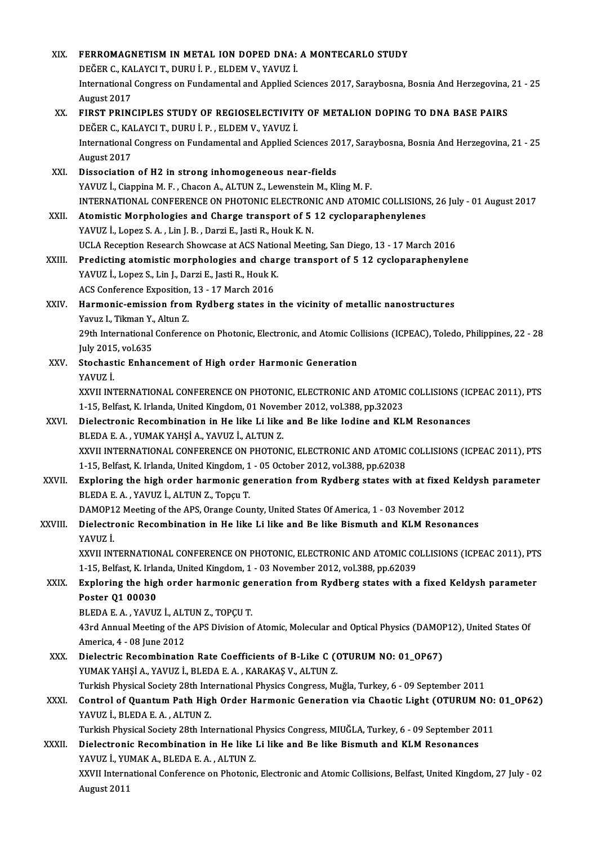| XIX.    | FERROMAGNETISM IN METAL ION DOPED DNA: A MONTECARLO STUDY                                                                                                                                           |
|---------|-----------------------------------------------------------------------------------------------------------------------------------------------------------------------------------------------------|
|         | DEĞER C., KALAYCI T., DURU İ. P., ELDEM V., YAVUZ İ.                                                                                                                                                |
|         | International Congress on Fundamental and Applied Sciences 2017, Saraybosna, Bosnia And Herzegovina, 21 - 25                                                                                        |
|         | August 2017                                                                                                                                                                                         |
| XX.     | FIRST PRINCIPLES STUDY OF REGIOSELECTIVITY OF METALION DOPING TO DNA BASE PAIRS                                                                                                                     |
|         | DEĞER C., KALAYCI T., DURU İ. P., ELDEM V., YAVUZ İ.                                                                                                                                                |
|         | International Congress on Fundamental and Applied Sciences 2017, Saraybosna, Bosnia And Herzegovina, 21 - 25                                                                                        |
|         | August 2017                                                                                                                                                                                         |
| XXI.    | Dissociation of H2 in strong inhomogeneous near-fields                                                                                                                                              |
|         | YAVUZ İ., Ciappina M. F., Chacon A., ALTUN Z., Lewenstein M., Kling M. F.                                                                                                                           |
|         | INTERNATIONAL CONFERENCE ON PHOTONIC ELECTRONIC AND ATOMIC COLLISIONS, 26 July - 01 August 2017                                                                                                     |
| XXII.   | Atomistic Morphologies and Charge transport of 5 12 cycloparaphenylenes                                                                                                                             |
|         | YAVUZ İ., Lopez S. A., Lin J. B., Darzi E., Jasti R., Houk K. N.                                                                                                                                    |
| XXIII.  | UCLA Reception Research Showcase at ACS National Meeting, San Diego, 13 - 17 March 2016                                                                                                             |
|         | Predicting atomistic morphologies and charge transport of 5 12 cycloparaphenylene<br>YAVUZ İ., Lopez S., Lin J., Darzi E., Jasti R., Houk K.                                                        |
|         | ACS Conference Exposition, 13 - 17 March 2016                                                                                                                                                       |
| XXIV.   | Harmonic-emission from Rydberg states in the vicinity of metallic nanostructures                                                                                                                    |
|         | Yavuz I., Tikman Y., Altun Z.                                                                                                                                                                       |
|         | 29th International Conference on Photonic, Electronic, and Atomic Collisions (ICPEAC), Toledo, Philippines, 22 - 28                                                                                 |
|         | July 2015, vol.635                                                                                                                                                                                  |
| XXV.    | Stochastic Enhancement of High order Harmonic Generation                                                                                                                                            |
|         | YAVUZ İ.                                                                                                                                                                                            |
|         | XXVII INTERNATIONAL CONFERENCE ON PHOTONIC, ELECTRONIC AND ATOMIC COLLISIONS (ICPEAC 2011), PTS                                                                                                     |
|         | 1-15, Belfast, K. Irlanda, United Kingdom, 01 November 2012, vol.388, pp.32023                                                                                                                      |
| XXVI.   | Dielectronic Recombination in He like Li like and Be like Iodine and KLM Resonances                                                                                                                 |
|         | BLEDA E. A., YUMAK YAHŞİ A., YAVUZ İ., ALTUN Z.                                                                                                                                                     |
|         | XXVII INTERNATIONAL CONFERENCE ON PHOTONIC, ELECTRONIC AND ATOMIC COLLISIONS (ICPEAC 2011), PTS                                                                                                     |
| XXVII.  | 1-15, Belfast, K. Irlanda, United Kingdom, 1 - 05 October 2012, vol.388, pp.62038<br>Exploring the high order harmonic generation from Rydberg states with at fixed Keldysh parameter               |
|         | BLEDA E.A., YAVUZ İ., ALTUN Z., Topçu T.                                                                                                                                                            |
|         | DAMOP12 Meeting of the APS, Orange County, United States Of America, 1 - 03 November 2012                                                                                                           |
| XXVIII. | Dielectronic Recombination in He like Li like and Be like Bismuth and KLM Resonances                                                                                                                |
|         | YAVUZ İ.                                                                                                                                                                                            |
|         | XXVII INTERNATIONAL CONFERENCE ON PHOTONIC, ELECTRONIC AND ATOMIC COLLISIONS (ICPEAC 2011), PTS                                                                                                     |
|         | 1-15, Belfast, K. Irlanda, United Kingdom, 1 - 03 November 2012, vol.388, pp.62039                                                                                                                  |
| XXIX.   | Exploring the high order harmonic generation from Rydberg states with a fixed Keldysh parameter                                                                                                     |
|         | Poster Q1 00030                                                                                                                                                                                     |
|         | BLEDA E. A., YAVUZ İ., ALTUN Z., TOPÇU T.                                                                                                                                                           |
|         | 43rd Annual Meeting of the APS Division of Atomic, Molecular and Optical Physics (DAMOP12), United States Of                                                                                        |
|         | America, 4 - 08 June 2012                                                                                                                                                                           |
| XXX.    | Dielectric Recombination Rate Coefficients of B-Like C (OTURUM NO: 01_0P67)                                                                                                                         |
|         | YUMAK YAHŞİ A., YAVUZ İ., BLEDA E. A., KARAKAŞ V., ALTUN Z.                                                                                                                                         |
|         | Turkish Physical Society 28th International Physics Congress, Muğla, Turkey, 6 - 09 September 2011<br>Control of Quantum Path High Order Harmonic Generation via Chaotic Light (OTURUM NO: 01_0P62) |
| XXXI.   | YAVUZ İ., BLEDA E.A., ALTUN Z.                                                                                                                                                                      |
|         | Turkish Physical Society 28th International Physics Congress, MIUGLA, Turkey, 6 - 09 September 2011                                                                                                 |
| XXXII.  | Dielectronic Recombination in He like Li like and Be like Bismuth and KLM Resonances                                                                                                                |
|         | YAVUZ İ., YUMAK A., BLEDA E. A., ALTUN Z.                                                                                                                                                           |
|         | XXVII International Conference on Photonic, Electronic and Atomic Collisions, Belfast, United Kingdom, 27 July - 02                                                                                 |
|         | August 2011                                                                                                                                                                                         |
|         |                                                                                                                                                                                                     |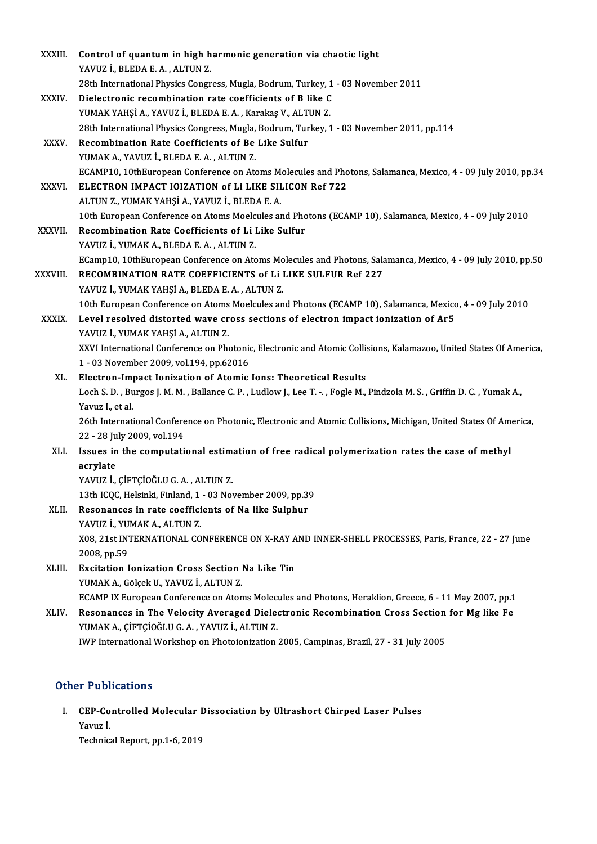| XXXIII.       | Control of quantum in high harmonic generation via chaotic light                                                      |
|---------------|-----------------------------------------------------------------------------------------------------------------------|
|               | YAVUZ İ., BLEDA E.A., ALTUN Z.                                                                                        |
|               | 28th International Physics Congress, Mugla, Bodrum, Turkey, 1 - 03 November 2011                                      |
| XXXIV.        | Dielectronic recombination rate coefficients of B like C                                                              |
|               | YUMAK YAHŞİ A., YAVUZ İ., BLEDA E. A., Karakaş V., ALTUN Z.                                                           |
|               | 28th International Physics Congress, Mugla, Bodrum, Turkey, 1 - 03 November 2011, pp.114                              |
| XXXV.         | Recombination Rate Coefficients of Be Like Sulfur                                                                     |
|               | YUMAK A., YAVUZ İ., BLEDA E. A., ALTUN Z.                                                                             |
|               | ECAMP10, 10thEuropean Conference on Atoms Molecules and Photons, Salamanca, Mexico, 4 - 09 July 2010, pp.34           |
| <b>XXXVI</b>  | ELECTRON IMPACT IOIZATION of Li LIKE SILICON Ref 722                                                                  |
|               | ALTUN Z., YUMAK YAHŞİ A., YAVUZ İ., BLEDA E. A.                                                                       |
|               | 10th European Conference on Atoms Moelcules and Photons (ECAMP 10), Salamanca, Mexico, 4 - 09 July 2010               |
| <b>XXXVII</b> | Recombination Rate Coefficients of Li Like Sulfur                                                                     |
|               | YAVUZ İ., YUMAK A., BLEDA E. A., ALTUN Z.                                                                             |
|               | ECamp10, 10thEuropean Conference on Atoms Molecules and Photons, Salamanca, Mexico, 4 - 09 July 2010, pp.50           |
| XXXVIII.      | RECOMBINATION RATE COEFFICIENTS of Li LIKE SULFUR Ref 227                                                             |
|               | YAVUZ İ., YUMAK YAHŞİ A., BLEDA E. A., ALTUN Z.                                                                       |
|               | 10th European Conference on Atoms Moelcules and Photons (ECAMP 10), Salamanca, Mexico, 4 - 09 July 2010               |
| <b>XXXIX</b>  | Level resolved distorted wave cross sections of electron impact ionization of Ar5                                     |
|               | YAVUZ İ., YUMAK YAHŞİ A., ALTUN Z.                                                                                    |
|               | XXVI International Conference on Photonic, Electronic and Atomic Collisions, Kalamazoo, United States Of America,     |
|               | 1 - 03 November 2009, vol.194, pp.62016                                                                               |
| XL.           | Electron-Impact Ionization of Atomic Ions: Theoretical Results                                                        |
|               | Loch S. D., Burgos J. M. M., Ballance C. P., Ludlow J., Lee T. -., Fogle M., Pindzola M. S., Griffin D. C., Yumak A., |
|               | Yavuz I, et al.                                                                                                       |
|               | 26th International Conference on Photonic, Electronic and Atomic Collisions, Michigan, United States Of America,      |
|               | 22 - 28 July 2009, vol 194                                                                                            |
| XLI.          | Issues in the computational estimation of free radical polymerization rates the case of methyl                        |
|               | acrylate                                                                                                              |
|               | YAVUZ İ., ÇİFTÇİOĞLU G. A., ALTUN Z.                                                                                  |
|               | 13th ICQC, Helsinki, Finland, 1 - 03 November 2009, pp.39                                                             |
| XLII.         | Resonances in rate coefficients of Na like Sulphur                                                                    |
|               | YAVUZ İ., YUMAK A., ALTUN Z.                                                                                          |
|               | X08, 21st INTERNATIONAL CONFERENCE ON X-RAY AND INNER-SHELL PROCESSES, Paris, France, 22 - 27 June                    |
|               | 2008, pp 59                                                                                                           |
| XLIII.        | Excitation Ionization Cross Section Na Like Tin                                                                       |
|               | YUMAK A., Gölçek U., YAVUZ İ., ALTUN Z.                                                                               |
|               | ECAMP IX European Conference on Atoms Molecules and Photons, Heraklion, Greece, 6 - 11 May 2007, pp.1                 |
| XLIV.         | Resonances in The Velocity Averaged Dielectronic Recombination Cross Section for Mg like Fe                           |
|               | YUMAK A., ÇİFTÇİOĞLU G. A., YAVUZ İ., ALTUN Z.                                                                        |
|               | IWP International Workshop on Photoionization 2005, Campinas, Brazil, 27 - 31 July 2005                               |

# Other Publications

ther Publications<br>I. CEP-Controlled Molecular Dissociation by Ultrashort Chirped Laser Pulses<br>Young i r r ubi<br>CEP-Co<br>Yavuz İ. <mark>CEP-Controlled Molecular I</mark><br>Yavuz İ.<br>Technical Report, pp.1-6, 2019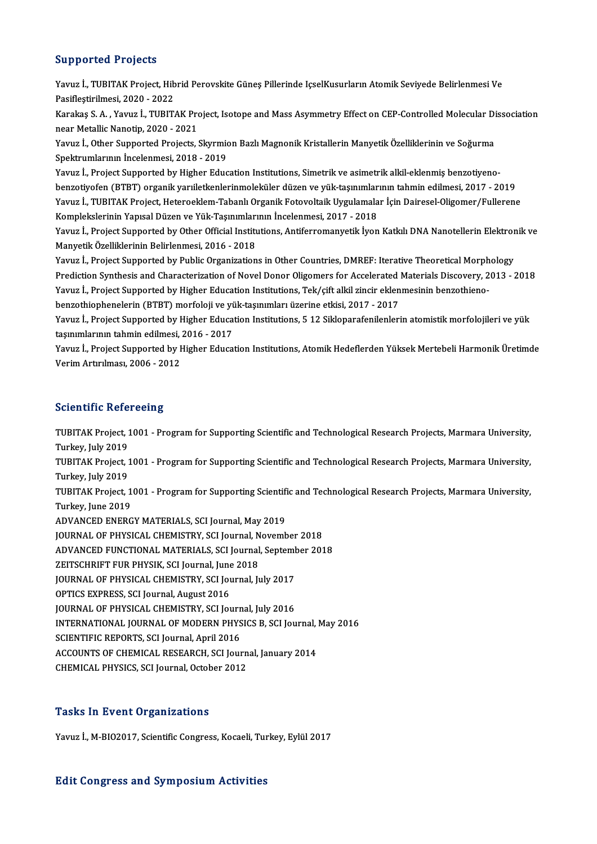# Supported Projects

Supported Projects<br>Yavuz İ., TUBITAK Project, Hibrid Perovskite Güneş Pillerinde IçselKusurların Atomik Seviyede Belirlenmesi Ve<br>Resiflestirilmesi, 2020, ...2022 Papportour Projoces<br>Yavuz İ., TUBITAK Project, Hib<br>Pasifleştirilmesi, 2020 - 2022<br>Karakas S. A., Yavus İ., TUBIT. Yavuz İ., TUBITAK Project, Hibrid Perovskite Güneş Pillerinde IçselKusurların Atomik Seviyede Belirlenmesi Ve<br>Pasifleştirilmesi, 2020 - 2022<br>Karakaş S. A. , Yavuz İ., TUBITAK Project, Isotope and Mass Asymmetry Effect on C

Pasifleştirilmesi, 2020 - 2022<br>Karakaş S. A. , Yavuz İ., TUBITAK Pro<br>near Metallic Nanotip, 2020 - 2021<br>Yavuz İ. Other Sunnerted Projecta İ Karakaş S. A. , Yavuz İ., TUBITAK Project, Isotope and Mass Asymmetry Effect on CEP-Controlled Molecular Di<br>near Metallic Nanotip, 2020 - 2021<br>Yavuz İ., Other Supported Projects, Skyrmion Bazlı Magnonik Kristallerin Manyet

near Metallic Nanotip, 2020 - 2021<br>Yavuz İ., Other Supported Projects, Skyrmion Bazlı Magnonik Kristallerin Manyetik Özelliklerinin ve Soğurma<br>Spektrumlarının İncelenmesi, 2018 - 2019

Yavuz İ., Project Supported by Higher Education Institutions, Simetrik ve asimetrik alkil-eklenmiş benzotiyenobenzotiyofen(BTBT) organikyarıiletkenlerinmoleküler düzenve yük-taşınımlarınıntahminedilmesi,2017 -2019 Yavuz İ., Project Supported by Higher Education Institutions, Simetrik ve asimetrik alkil-eklenmiş benzotiyeno<br>benzotiyofen (BTBT) organik yarıiletkenlerinmoleküler düzen ve yük-taşınımlarının tahmin edilmesi, 2017 - 2019<br> benzotiyofen (BTBT) organik yarıiletkenlerinmoleküler düzen ve yük-taşınımlar<br>Yavuz İ., TUBITAK Project, Heteroeklem-Tabanlı Organik Fotovoltaik Uygulamala<br>Komplekslerinin Yapısal Düzen ve Yük-Taşınımlarının İncelenmesi, 2 Yavuz İ., TUBITAK Project, Heteroeklem-Tabanlı Organik Fotovoltaik Uygulamalar İçin Dairesel-Oligomer/Fullerene<br>Komplekslerinin Yapısal Düzen ve Yük-Taşınımlarının İncelenmesi, 2017 - 2018<br>Yavuz İ., Project Supported by Ot

Komplekslerinin Yapısal Düzen ve Yük-Taşınımlarının İncelenmesi, 2017 - 2018<br>Yavuz İ., Project Supported by Other Official Institutions, Antiferromanyetik İyor<br>Manyetik Özelliklerinin Belirlenmesi, 2016 - 2018 Yavuz İ., Project Supported by Other Official Institutions, Antiferromanyetik İyon Katkılı DNA Nanotellerin Elektronik ve<br>Manyetik Özelliklerinin Belirlenmesi, 2016 - 2018<br>Yavuz İ., Project Supported by Public Organization

Yavuz İ., Project Supported by Public Organizations in Other Countries, DMREF: Iterative Theoretical Morphology Yavuz İ., Project Supported by Public Organizations in Other Countries, DMREF: Iterative Theoretical Morph<br>Prediction Synthesis and Characterization of Novel Donor Oligomers for Accelerated Materials Discovery, 2<br>Yavuz İ., Prediction Synthesis and Characterization of Novel Donor Oligomers for Accelerated<br>Yavuz İ., Project Supported by Higher Education Institutions, Tek/çift alkil zincir eklen<br>benzothiophenelerin (BTBT) morfoloji ve yük-taşın Yavuz İ., Project Supported by Higher Education Institutions, Tek/çift alkil zincir eklenmesinin benzothieno-<br>benzothiophenelerin (BTBT) morfoloji ve yük-taşınımları üzerine etkisi, 2017 - 2017<br>Yavuz İ., Project Supported

benzothiophenelerin (BTBT) morfoloji ve yü<br>Yavuz İ., Project Supported by Higher Educa<br>taşınımlarının tahmin edilmesi, 2016 - 2017<br>Yavuz İ. Project Supported by Higher Educa: Yavuz İ., Project Supported by Higher Education Institutions, 5 12 Sikloparafenilenlerin atomistik morfolojileri ve yük<br>taşınımlarının tahmin edilmesi, 2016 - 2017<br>Yavuz İ., Project Supported by Higher Education Institutio

taşınımlarının tahmin edilmesi, :<br>Yavuz İ., Project Supported by <del>I</del><br>Verim Artırılması, 2006 - 2012 Verim Artırılması, 2006 - 2012<br>Scientific Refereeing

Scie**ntific Refereeing**<br>TUBITAK Project, 1001 - Program for Supporting Scientific and Technological Research Projects, Marmara University,<br>Turkey, July 2019 TUBITAK Project, 1<br>TUBITAK Project, 1<br>Turkey, July 2019<br>TUBITAK Project 1 TUBITAK Project, 1001 - Program for Supporting Scientific and Technological Research Projects, Marmara University,<br>Turkey, July 2019<br>Turkey, July 2019<br>Turkey, July 2019 Turkey, July 2019<br>TUBITAK Project,<br>Turkey, July 2019 TUBITAK Project, 1001 - Program for Supporting Scientific and Technological Research Projects, Marmara University,<br>Turkey, July 2019<br>TUBITAK Project, 1001 - Program for Supporting Scientific and Technological Research Proj TUBITAK Project, 1001 - Program for Supporting Scientific and Technological Research Projects, Marmara University, ADVANCED ENERGY MATERIALS, SCI Journal, May 2019 JOURNAL OF PHYSICAL CHEMISTRY, SCI Journal, November 2018 ADVANCED ENERGY MATERIALS, SCI Journal, May 2019<br>JOURNAL OF PHYSICAL CHEMISTRY, SCI Journal, November 2018<br>ADVANCED FUNCTIONAL MATERIALS, SCI Journal, September 2018<br>ZEITSCHRIET EUR RHYSIK SCI Journal June 2018 JOURNAL OF PHYSICAL CHEMISTRY, SCI Journal, N<br>ADVANCED FUNCTIONAL MATERIALS, SCI Journal<br>ZEITSCHRIFT FUR PHYSIK, SCI Journal, June 2018<br>JOURNAL OF PHYSICAL CHEMISTRY, SCI Journal I. ADVANCED FUNCTIONAL MATERIALS, SCI Journal, Septem<mark>l</mark><br>ZEITSCHRIFT FUR PHYSIK, SCI Journal, June 2018<br>JOURNAL OF PHYSICAL CHEMISTRY, SCI Journal, July 2017<br>OPTICS EXPRESS, SCI Journal, August 2016 ZEITSCHRIFT FUR PHYSIK, SCI Journal, June<br>JOURNAL OF PHYSICAL CHEMISTRY, SCI Jou<br>OPTICS EXPRESS, SCI Journal, August 2016<br>JOURNAL OF PHYSICAL CHEMISTRY, SCI JO JOURNAL OF PHYSICAL CHEMISTRY, SCI Journal, July 2017<br>OPTICS EXPRESS, SCI Journal, August 2016<br>JOURNAL OF PHYSICAL CHEMISTRY, SCI Journal, July 2016<br>INTERNATIONAL JOURNAL OF MODERN BUYSICS R. SCI Jou OPTICS EXPRESS, SCI Journal, August 2016<br>JOURNAL OF PHYSICAL CHEMISTRY, SCI Journal, July 2016<br>INTERNATIONAL JOURNAL OF MODERN PHYSICS B, SCI Journal, May 2016<br>SCIENTIFIC REPORTS, SCI Journal, April 2016 **JOURNAL OF PHYSICAL CHEMISTRY, SCI Journ<br>INTERNATIONAL JOURNAL OF MODERN PHYS<br>SCIENTIFIC REPORTS, SCI Journal, April 2016<br>ACCOUNTS OF CHEMICAL RESEARCH SCI Jour</u>** INTERNATIONAL JOURNAL OF MODERN PHYSICS B, SCI Journal,<br>SCIENTIFIC REPORTS, SCI Journal, April 2016<br>ACCOUNTS OF CHEMICAL RESEARCH, SCI Journal, January 2014<br>CHEMICAL BHYSICS, SCI Journal Ostaber 2012 SCIENTIFIC REPORTS, SCI Journal, April 2016<br>ACCOUNTS OF CHEMICAL RESEARCH, SCI Journ<br>CHEMICAL PHYSICS, SCI Journal, October 2012 CHEMICAL PHYSICS, SCI Journal, October 2012<br>Tasks In Event Organizations

Yavuz İ., M-BIO2017, Scientific Congress, Kocaeli, Turkey, Eylül 2017

## Edit Congress and SymposiumActivities